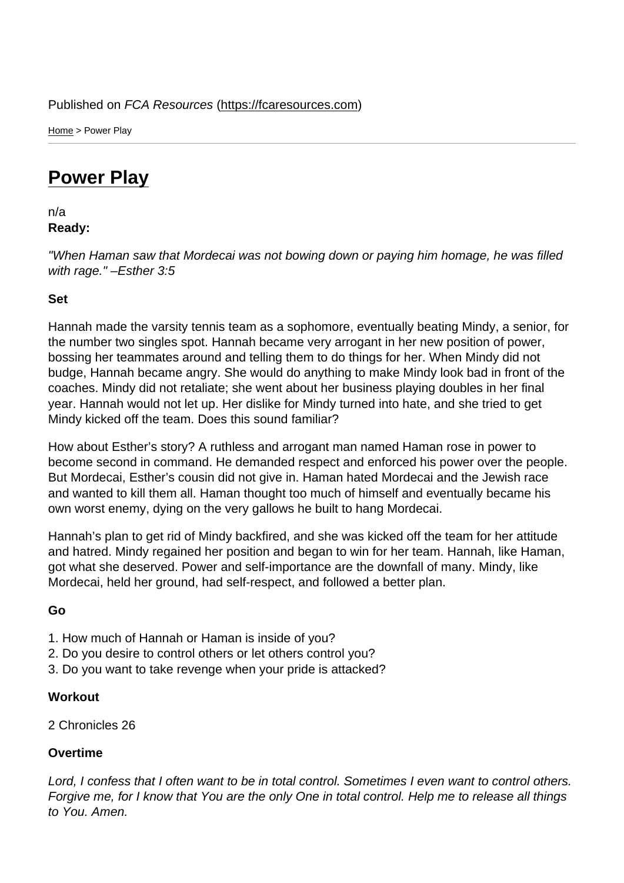Home > Power Play

## [Pow](https://fcaresources.com/)er Play

n/a [Ready:](https://fcaresources.com/devotional/power-play) 

"When Haman saw that Mordecai was not bowing down or paying him homage, he was filled with rage." –Esther 3:5

Set

Hannah made the varsity tennis team as a sophomore, eventually beating Mindy, a senior, for the number two singles spot. Hannah became very arrogant in her new position of power, bossing her teammates around and telling them to do things for her. When Mindy did not budge, Hannah became angry. She would do anything to make Mindy look bad in front of the coaches. Mindy did not retaliate; she went about her business playing doubles in her final year. Hannah would not let up. Her dislike for Mindy turned into hate, and she tried to get Mindy kicked off the team. Does this sound familiar?

How about Esther's story? A ruthless and arrogant man named Haman rose in power to become second in command. He demanded respect and enforced his power over the people. But Mordecai, Esther's cousin did not give in. Haman hated Mordecai and the Jewish race and wanted to kill them all. Haman thought too much of himself and eventually became his own worst enemy, dying on the very gallows he built to hang Mordecai.

Hannah's plan to get rid of Mindy backfired, and she was kicked off the team for her attitude and hatred. Mindy regained her position and began to win for her team. Hannah, like Haman, got what she deserved. Power and self-importance are the downfall of many. Mindy, like Mordecai, held her ground, had self-respect, and followed a better plan.

Go

- 1. How much of Hannah or Haman is inside of you?
- 2. Do you desire to control others or let others control you?
- 3. Do you want to take revenge when your pride is attacked?

**Workout** 

2 Chronicles 26

Overtime

Lord, I confess that I often want to be in total control. Sometimes I even want to control others. Forgive me, for I know that You are the only One in total control. Help me to release all things to You. Amen.